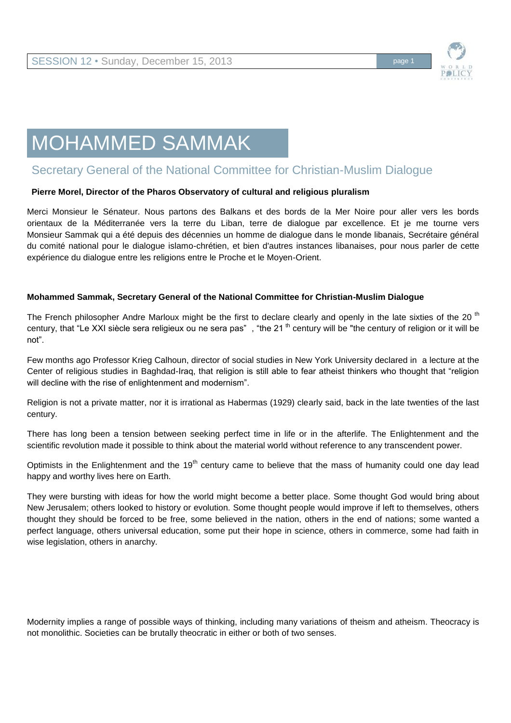

# MOHAMMED SAMMAK

## Secretary General of the National Committee for Christian-Muslim Dialogue

#### **Pierre Morel, Director of the Pharos Observatory of cultural and religious pluralism**

Merci Monsieur le Sénateur. Nous partons des Balkans et des bords de la Mer Noire pour aller vers les bords orientaux de la Méditerranée vers la terre du Liban, terre de dialogue par excellence. Et je me tourne vers Monsieur Sammak qui a été depuis des décennies un homme de dialogue dans le monde libanais, Secrétaire général du comité national pour le dialogue islamo-chrétien, et bien d'autres instances libanaises, pour nous parler de cette expérience du dialogue entre les religions entre le Proche et le Moyen-Orient.

#### **Mohammed Sammak, Secretary General of the National Committee for Christian-Muslim Dialogue**

The French philosopher Andre Marloux might be the first to declare clearly and openly in the late sixties of the 20<sup>th</sup> century, that "Le XXI siècle sera religieux ou ne sera pas", "the 21<sup>th</sup> century will be "the century of religion or it will be not".

Few months ago Professor Krieg Calhoun, director of social studies in New York University declared in a lecture at the Center of religious studies in Baghdad-Iraq, that religion is still able to fear atheist thinkers who thought that "religion will decline with the rise of enlightenment and modernism".

Religion is not a private matter, nor it is irrational as Habermas (1929) clearly said, back in the late twenties of the last century.

There has long been a tension between seeking perfect time in life or in the afterlife. The Enlightenment and the scientific revolution made it possible to think about the material world without reference to any transcendent power.

Optimists in the Enlightenment and the  $19<sup>th</sup>$  century came to believe that the mass of humanity could one day lead happy and worthy lives here on Earth.

They were bursting with ideas for how the world might become a better place. Some thought God would bring about New Jerusalem; others looked to history or evolution. Some thought people would improve if left to themselves, others thought they should be forced to be free, some believed in the nation, others in the end of nations; some wanted a perfect language, others universal education, some put their hope in science, others in commerce, some had faith in wise legislation, others in anarchy.

Modernity implies a range of possible ways of thinking, including many variations of theism and atheism. Theocracy is not monolithic. Societies can be brutally theocratic in either or both of two senses.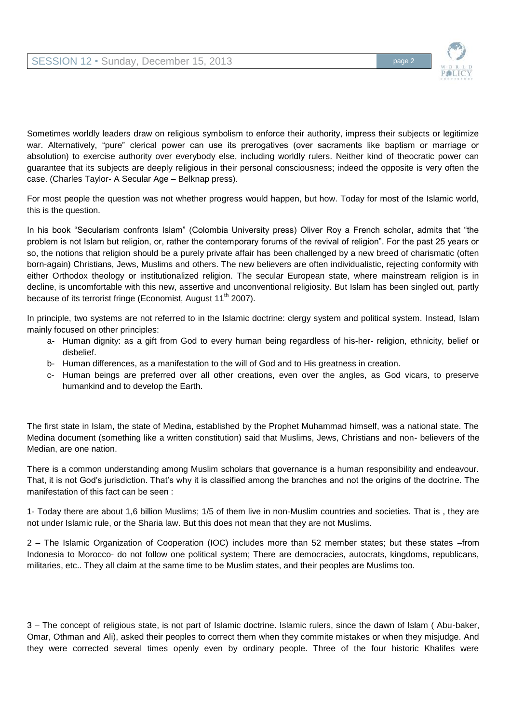

Sometimes worldly leaders draw on religious symbolism to enforce their authority, impress their subjects or legitimize war. Alternatively, "pure" clerical power can use its prerogatives (over sacraments like baptism or marriage or absolution) to exercise authority over everybody else, including worldly rulers. Neither kind of theocratic power can guarantee that its subjects are deeply religious in their personal consciousness; indeed the opposite is very often the case. (Charles Taylor- A Secular Age – Belknap press).

For most people the question was not whether progress would happen, but how. Today for most of the Islamic world, this is the question.

In his book "Secularism confronts Islam" (Colombia University press) Oliver Roy a French scholar, admits that "the problem is not Islam but religion, or, rather the contemporary forums of the revival of religion". For the past 25 years or so, the notions that religion should be a purely private affair has been challenged by a new breed of charismatic (often born-again) Christians, Jews, Muslims and others. The new believers are often individualistic, rejecting conformity with either Orthodox theology or institutionalized religion. The secular European state, where mainstream religion is in decline, is uncomfortable with this new, assertive and unconventional religiosity. But Islam has been singled out, partly because of its terrorist fringe (Economist, August 11<sup>th</sup> 2007).

In principle, two systems are not referred to in the Islamic doctrine: clergy system and political system. Instead, Islam mainly focused on other principles:

- a- Human dignity: as a gift from God to every human being regardless of his-her- religion, ethnicity, belief or disbelief.
- b- Human differences, as a manifestation to the will of God and to His greatness in creation.
- c- Human beings are preferred over all other creations, even over the angles, as God vicars, to preserve humankind and to develop the Earth.

The first state in Islam, the state of Medina, established by the Prophet Muhammad himself, was a national state. The Medina document (something like a written constitution) said that Muslims, Jews, Christians and non- believers of the Median, are one nation.

There is a common understanding among Muslim scholars that governance is a human responsibility and endeavour. That, it is not God's jurisdiction. That's why it is classified among the branches and not the origins of the doctrine. The manifestation of this fact can be seen :

1- Today there are about 1,6 billion Muslims; 1/5 of them live in non-Muslim countries and societies. That is , they are not under Islamic rule, or the Sharia law. But this does not mean that they are not Muslims.

2 – The Islamic Organization of Cooperation (IOC) includes more than 52 member states; but these states –from Indonesia to Morocco- do not follow one political system; There are democracies, autocrats, kingdoms, republicans, militaries, etc.. They all claim at the same time to be Muslim states, and their peoples are Muslims too.

3 – The concept of religious state, is not part of Islamic doctrine. Islamic rulers, since the dawn of Islam ( Abu-baker, Omar, Othman and Ali), asked their peoples to correct them when they commite mistakes or when they misjudge. And they were corrected several times openly even by ordinary people. Three of the four historic Khalifes were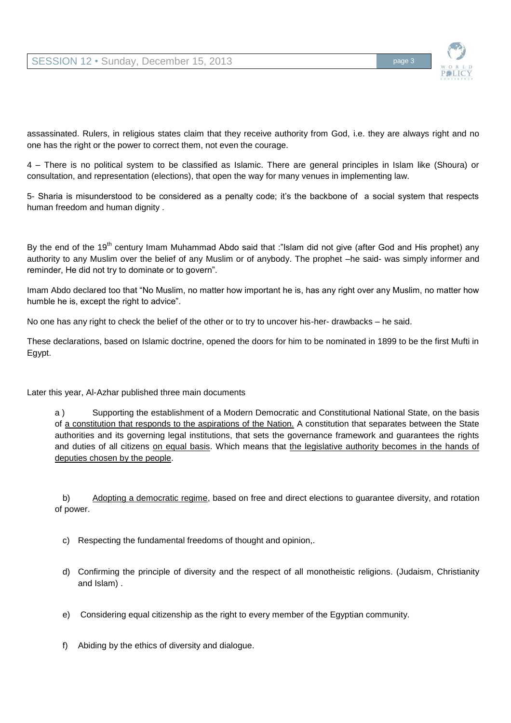

assassinated. Rulers, in religious states claim that they receive authority from God, i.e. they are always right and no one has the right or the power to correct them, not even the courage.

4 – There is no political system to be classified as Islamic. There are general principles in Islam like (Shoura) or consultation, and representation (elections), that open the way for many venues in implementing law.

5- Sharia is misunderstood to be considered as a penalty code; it's the backbone of a social system that respects human freedom and human dignity .

By the end of the 19<sup>th</sup> century Imam Muhammad Abdo said that :"Islam did not give (after God and His prophet) any authority to any Muslim over the belief of any Muslim or of anybody. The prophet –he said- was simply informer and reminder, He did not try to dominate or to govern".

Imam Abdo declared too that "No Muslim, no matter how important he is, has any right over any Muslim, no matter how humble he is, except the right to advice".

No one has any right to check the belief of the other or to try to uncover his-her- drawbacks – he said.

These declarations, based on Islamic doctrine, opened the doors for him to be nominated in 1899 to be the first Mufti in Egypt.

Later this year, Al-Azhar published three main documents

a ) Supporting the establishment of a Modern Democratic and Constitutional National State, on the basis of a constitution that responds to the aspirations of the Nation. A constitution that separates between the State authorities and its governing legal institutions, that sets the governance framework and guarantees the rights and duties of all citizens on equal basis. Which means that the legislative authority becomes in the hands of deputies chosen by the people.

b) Adopting a democratic regime, based on free and direct elections to guarantee diversity, and rotation of power.

- c) Respecting the fundamental freedoms of thought and opinion,.
- d) Confirming the principle of diversity and the respect of all monotheistic religions. (Judaism, Christianity and Islam) .
- e) Considering equal citizenship as the right to every member of the Egyptian community.
- f) Abiding by the ethics of diversity and dialogue.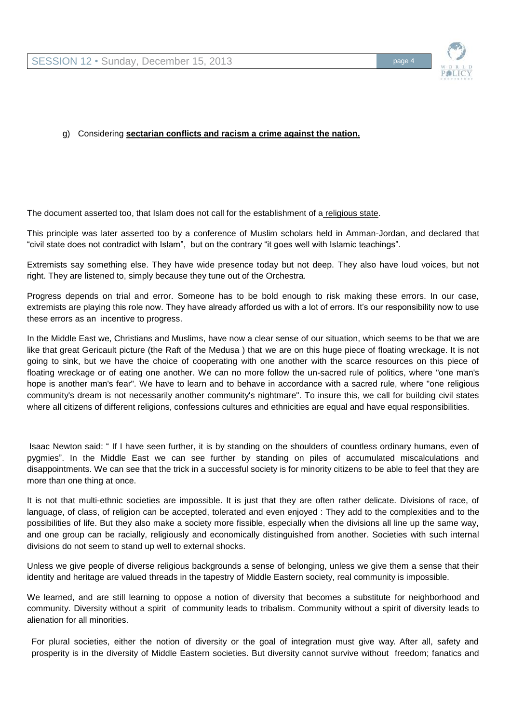

### g) Considering **sectarian conflicts and racism a crime against the nation.**

The document asserted too, that Islam does not call for the establishment of a religious state.

This principle was later asserted too by a conference of Muslim scholars held in Amman-Jordan, and declared that "civil state does not contradict with Islam", but on the contrary "it goes well with Islamic teachings".

Extremists say something else. They have wide presence today but not deep. They also have loud voices, but not right. They are listened to, simply because they tune out of the Orchestra.

Progress depends on trial and error. Someone has to be bold enough to risk making these errors. In our case, extremists are playing this role now. They have already afforded us with a lot of errors. It's our responsibility now to use these errors as an incentive to progress.

In the Middle East we, Christians and Muslims, have now a clear sense of our situation, which seems to be that we are like that great Gericault picture (the Raft of the Medusa ) that we are on this huge piece of floating wreckage. It is not going to sink, but we have the choice of cooperating with one another with the scarce resources on this piece of floating wreckage or of eating one another. We can no more follow the un-sacred rule of politics, where "one man's hope is another man's fear". We have to learn and to behave in accordance with a sacred rule, where "one religious community's dream is not necessarily another community's nightmare". To insure this, we call for building civil states where all citizens of different religions, confessions cultures and ethnicities are equal and have equal responsibilities.

Isaac Newton said: " If I have seen further, it is by standing on the shoulders of countless ordinary humans, even of pygmies". In the Middle East we can see further by standing on piles of accumulated miscalculations and disappointments. We can see that the trick in a successful society is for minority citizens to be able to feel that they are more than one thing at once.

It is not that multi-ethnic societies are impossible. It is just that they are often rather delicate. Divisions of race, of language, of class, of religion can be accepted, tolerated and even enjoyed : They add to the complexities and to the possibilities of life. But they also make a society more fissible, especially when the divisions all line up the same way, and one group can be racially, religiously and economically distinguished from another. Societies with such internal divisions do not seem to stand up well to external shocks.

Unless we give people of diverse religious backgrounds a sense of belonging, unless we give them a sense that their identity and heritage are valued threads in the tapestry of Middle Eastern society, real community is impossible.

We learned, and are still learning to oppose a notion of diversity that becomes a substitute for neighborhood and community. Diversity without a spirit of community leads to tribalism. Community without a spirit of diversity leads to alienation for all minorities.

For plural societies, either the notion of diversity or the goal of integration must give way. After all, safety and prosperity is in the diversity of Middle Eastern societies. But diversity cannot survive without freedom; fanatics and